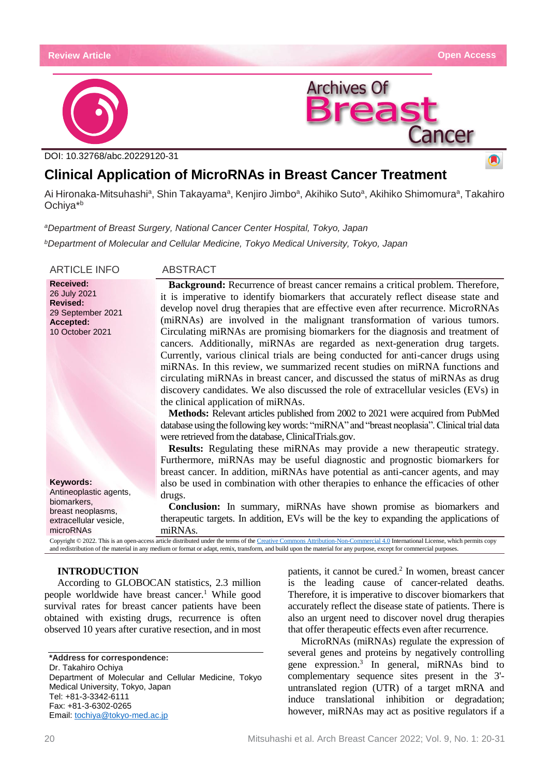

A)

ancer



DOI: 10.32768/abc.20229120-31

# **Clinical Application of MicroRNAs in Breast Cancer Treatment**

Ai Hironaka-Mitsuhashi<sup>a</sup>, Shin Takayama<sup>a</sup>, Kenjiro Jimbo<sup>a</sup>, Akihiko Suto<sup>a</sup>, Akihiko Shimomura<sup>a</sup>, Takahiro Ochiya\* b

*<sup>a</sup>Department of Breast Surgery, National Cancer Center Hospital, Tokyo, Japan*

*<sup>b</sup>Department of Molecular and Cellular Medicine, Tokyo Medical University, Tokyo, Japan*

**Received:** 26 July 2021 **Revised:** 29 September 2021 **Accepted:** 10 October 2021

### **Keywords:**

Antineoplastic agents, biomarkers, breast neoplasms, extracellular vesicle, microRNAs

## ARTICLE INFO ABSTRACT

**Background:** Recurrence of breast cancer remains a critical problem. Therefore, it is imperative to identify biomarkers that accurately reflect disease state and develop novel drug therapies that are effective even after recurrence. MicroRNAs (miRNAs) are involved in the malignant transformation of various tumors. Circulating miRNAs are promising biomarkers for the diagnosis and treatment of cancers. Additionally, miRNAs are regarded as next-generation drug targets. Currently, various clinical trials are being conducted for anti-cancer drugs using miRNAs. In this review, we summarized recent studies on miRNA functions and circulating miRNAs in breast cancer, and discussed the status of miRNAs as drug discovery candidates. We also discussed the role of extracellular vesicles (EVs) in the clinical application of miRNAs.

**Archives Of** 

**Methods:** Relevant articles published from 2002 to 2021 were acquired from PubMed database using the following key words: "miRNA" and "breast neoplasia". Clinical trial data were retrieved from the database, ClinicalTrials.gov.

**Results:** Regulating these miRNAs may provide a new therapeutic strategy. Furthermore, miRNAs may be useful diagnostic and prognostic biomarkers for breast cancer. In addition, miRNAs have potential as anti-cancer agents, and may also be used in combination with other therapies to enhance the efficacies of other drugs.

**Conclusion:** In summary, miRNAs have shown promise as biomarkers and therapeutic targets. In addition, EVs will be the key to expanding the applications of miRNAs.

Copyright © 2022. This is an open-access article distributed under the terms of th[e Creative Commons Attribution-Non-Commercial 4.0](https://creativecommons.org/licenses/by-nc/4.0/) International License, which permits copy and redistribution of the material in any medium or format or adapt, remix, transform, and build upon the material for any purpose, except for commercial purposes.

# **INTRODUCTION**

According to GLOBOCAN statistics, 2.3 million people worldwide have breast cancer.<sup>1</sup> While good survival rates for breast cancer patients have been obtained with existing drugs, recurrence is often observed 10 years after curative resection, and in most

**\*Address for correspondence:** Dr. Takahiro Ochiya Department of Molecular and Cellular Medicine, Tokyo Medical University, Tokyo, Japan Tel: +81-3-3342-6111 Fax: +81-3-6302-0265 Email: [tochiya@tokyo-med.ac.jp](mailto:tochiya@tokyo-med.ac.jp)

patients, it cannot be cured.<sup>2</sup> In women, breast cancer is the leading cause of cancer-related deaths. Therefore, it is imperative to discover biomarkers that accurately reflect the disease state of patients. There is also an urgent need to discover novel drug therapies that offer therapeutic effects even after recurrence.

MicroRNAs (miRNAs) regulate the expression of several genes and proteins by negatively controlling gene expression.<sup>3</sup> In general, miRNAs bind to complementary sequence sites present in the 3' untranslated region (UTR) of a target mRNA and induce translational inhibition or degradation; however, miRNAs may act as positive regulators if a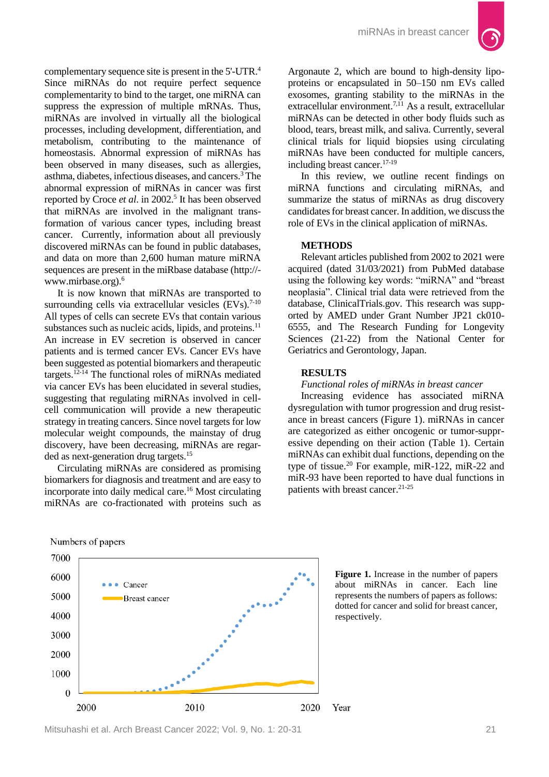

complementary sequence site is present in the 5'-UTR.<sup>4</sup> Since miRNAs do not require perfect sequence complementarity to bind to the target, one miRNA can suppress the expression of multiple mRNAs. Thus, miRNAs are involved in virtually all the biological processes, including development, differentiation, and metabolism, contributing to the maintenance of homeostasis. Abnormal expression of miRNAs has been observed in many diseases, such as allergies, asthma, diabetes, infectious diseases, and cancers.<sup>3</sup> The abnormal expression of miRNAs in cancer was first reported by Croce *et al*. in 2002.<sup>5</sup> It has been observed that miRNAs are involved in the malignant transformation of various cancer types, including breast cancer. Currently, information about all previously discovered miRNAs can be found in public databases, and data on more than 2,600 human mature miRNA sequences are present in the miRbase database (http:// www.mirbase.org).<sup>6</sup>

It is now known that miRNAs are transported to surrounding cells via extracellular vesicles  $(EVs).<sup>7-10</sup>$ All types of cells can secrete EVs that contain various substances such as nucleic acids, lipids, and proteins.<sup>11</sup> An increase in EV secretion is observed in cancer patients and is termed cancer EVs. Cancer EVs have been suggested as potential biomarkers and therapeutic targets.12-14 The functional roles of miRNAs mediated via cancer EVs has been elucidated in several studies, suggesting that regulating miRNAs involved in cellcell communication will provide a new therapeutic strategy in treating cancers. Since novel targets for low molecular weight compounds, the mainstay of drug discovery, have been decreasing, miRNAs are regarded as next-generation drug targets.<sup>15</sup>

Circulating miRNAs are considered as promising biomarkers for diagnosis and treatment and are easy to incorporate into daily medical care. <sup>16</sup> Most circulating miRNAs are co-fractionated with proteins such as

Argonaute 2, which are bound to high-density lipoproteins or encapsulated in 50–150 nm EVs called exosomes, granting stability to the miRNAs in the extracellular environment.<sup>7,11</sup> As a result, extracellular miRNAs can be detected in other body fluids such as blood, tears, breast milk, and saliva. Currently, several clinical trials for liquid biopsies using circulating miRNAs have been conducted for multiple cancers, including breast cancer.17-19

In this review, we outline recent findings on miRNA functions and circulating miRNAs, and summarize the status of miRNAs as drug discovery candidates for breast cancer. In addition, we discuss the role of EVs in the clinical application of miRNAs.

### **METHODS**

Relevant articles published from 2002 to 2021 were acquired (dated 31/03/2021) from PubMed database using the following key words: "miRNA" and "breast neoplasia". Clinical trial data were retrieved from the database, ClinicalTrials.gov. This research was supported by AMED under Grant Number JP21 ck010- 6555, and The Research Funding for Longevity Sciences (21-22) from the National Center for Geriatrics and Gerontology, Japan.

### **RESULTS**

#### *Functional roles of miRNAs in breast cancer*

Increasing evidence has associated miRNA dysregulation with tumor progression and drug resistance in breast cancers (Figure 1). miRNAs in cancer are categorized as either oncogenic or tumor-suppressive depending on their action (Table 1). Certain miRNAs can exhibit dual functions, depending on the type of tissue.<sup>20</sup> For example, miR-122, miR-22 and miR-93 have been reported to have dual functions in patients with breast cancer.<sup>21-25</sup>





Mitsuhashi et al. Arch Breast Cancer 2022; Vol. 9, No. 1: 20-31 21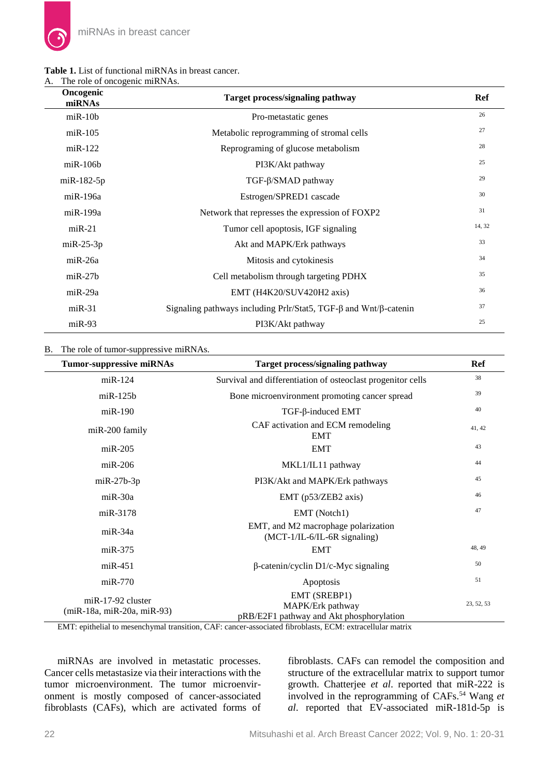### **Table 1.** List of functional miRNAs in breast cancer. A. The role of oncogenic miRNAs.

| Oncogenic<br>miRNAs | Target process/signaling pathway                                                | Ref    |
|---------------------|---------------------------------------------------------------------------------|--------|
| $m$ i R $-10b$      | Pro-metastatic genes                                                            | 26     |
| $miR-105$           | Metabolic reprogramming of stromal cells                                        | 27     |
| $m$ i R $-122$      | Reprograming of glucose metabolism                                              | 28     |
| $m$ i R $-10$ 6 $b$ | PI3K/Akt pathway                                                                | 25     |
| $miR-182-5p$        | TGF-β/SMAD pathway                                                              | 29     |
| $miR-196a$          | Estrogen/SPRED1 cascade                                                         | 30     |
| $miR-199a$          | Network that represses the expression of FOXP2                                  | 31     |
| $miR-21$            | Tumor cell apoptosis, IGF signaling                                             | 14, 32 |
| $miR-25-3p$         | Akt and MAPK/Erk pathways                                                       | 33     |
| $miR-26a$           | Mitosis and cytokinesis                                                         | 34     |
| $m$ i R $-27b$      | Cell metabolism through targeting PDHX                                          | 35     |
| $miR-29a$           | EMT (H4K20/SUV420H2 axis)                                                       | 36     |
| $miR-31$            | Signaling pathways including Prlr/Stat5, TGF- $\beta$ and Wnt/ $\beta$ -catenin | 37     |
| $miR-93$            | PI3K/Akt pathway                                                                | 25     |

# B. The role of tumor-suppressive miRNAs.

| <b>Tumor-suppressive miRNAs</b>                   | Target process/signaling pathway                                                                                                                                                                                                                     | Ref        |
|---------------------------------------------------|------------------------------------------------------------------------------------------------------------------------------------------------------------------------------------------------------------------------------------------------------|------------|
| $miR-124$                                         | Survival and differentiation of osteoclast progenitor cells                                                                                                                                                                                          | 38         |
| $m$ i $R-125b$                                    | Bone microenvironment promoting cancer spread                                                                                                                                                                                                        | 39         |
| $miR-190$                                         | $TGF$ - $\beta$ -induced EMT                                                                                                                                                                                                                         | 40         |
| $miR-200$ family                                  | CAF activation and ECM remodeling<br><b>EMT</b>                                                                                                                                                                                                      | 41, 42     |
| $miR-205$                                         | <b>EMT</b>                                                                                                                                                                                                                                           | 43         |
| $miR-206$                                         | MKL1/IL11 pathway                                                                                                                                                                                                                                    | 44         |
| $miR-27b-3p$                                      | PI3K/Akt and MAPK/Erk pathways                                                                                                                                                                                                                       | 45         |
| $miR-30a$                                         | EMT (p53/ZEB2 axis)                                                                                                                                                                                                                                  | 46         |
| miR-3178                                          | EMT (Notch1)                                                                                                                                                                                                                                         | 47         |
| $miR-34a$                                         | EMT, and M2 macrophage polarization<br>$(MCT-1/IL-6/IL-6R$ signaling)                                                                                                                                                                                |            |
| $miR-375$                                         | <b>EMT</b>                                                                                                                                                                                                                                           | 48, 49     |
| $miR-451$                                         | β-catenin/cyclin D1/c-Myc signaling                                                                                                                                                                                                                  | 50         |
| $miR-770$                                         | Apoptosis                                                                                                                                                                                                                                            | 51         |
| $miR-17-92$ cluster<br>(miR-18a, miR-20a, miR-93) | EMT (SREBP1)<br>MAPK/Erk pathway<br>pRB/E2F1 pathway and Akt phosphorylation<br>$\mathbf{EM}(\mathbf{T})$ , and the light of a concentration of the contract of the contract of the film blacks. $\mathbf{ECM}$ , and contract the local contract of | 23, 52, 53 |

EMT: epithelial to mesenchymal transition, CAF: cancer-associated fibroblasts, ECM: extracellular matrix

miRNAs are involved in metastatic processes. Cancer cells metastasize via their interactions with the tumor microenvironment. The tumor microenvironment is mostly composed of cancer-associated fibroblasts (CAFs), which are activated forms of fibroblasts. CAFs can remodel the composition and structure of the extracellular matrix to support tumor growth. Chatterjee *et al*. reported that miR-222 is involved in the reprogramming of CAFs.<sup>54</sup> Wang *et al*. reported that EV-associated miR-181d-5p is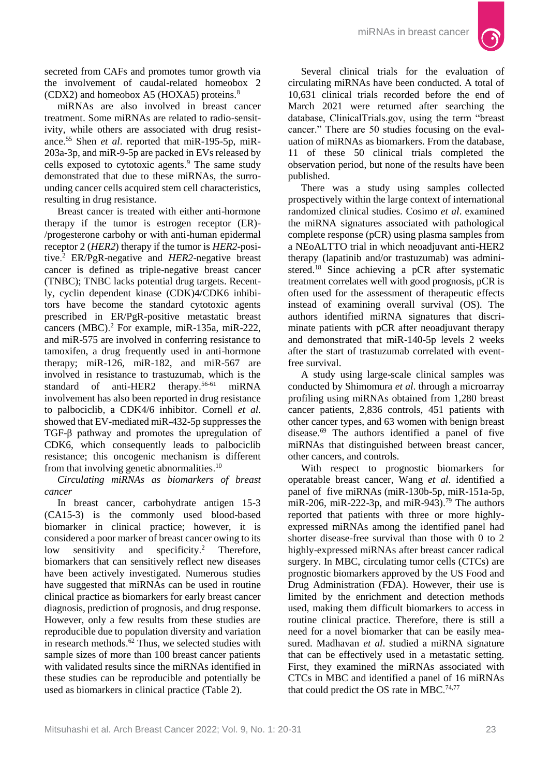

secreted from CAFs and promotes tumor growth via the involvement of caudal-related homeobox 2 (CDX2) and homeobox A5 (HOXA5) proteins. $8$ 

miRNAs are also involved in breast cancer treatment. Some miRNAs are related to radio-sensitivity, while others are associated with drug resistance. <sup>55</sup> Shen *et al*. reported that miR-195-5p, miR-203a-3p, and miR-9-5p are packed in EVs released by cells exposed to cytotoxic agents. <sup>9</sup> The same study demonstrated that due to these miRNAs, the surrounding cancer cells acquired stem cell characteristics, resulting in drug resistance.

Breast cancer is treated with either anti-hormone therapy if the tumor is estrogen receptor (ER)- /progesterone carbohy or with anti-human epidermal receptor 2 (*HER2*) therapy if the tumor is *HER2*-positive. <sup>2</sup> ER/PgR-negative and *HER2*-negative breast cancer is defined as triple-negative breast cancer (TNBC); TNBC lacks potential drug targets. Recently, cyclin dependent kinase (CDK)4/CDK6 inhibitors have become the standard cytotoxic agents prescribed in ER/PgR-positive metastatic breast cancers (MBC). <sup>2</sup> For example, miR-135a, miR-222, and miR-575 are involved in conferring resistance to tamoxifen, a drug frequently used in anti-hormone therapy; miR-126, miR-182, and miR-567 are involved in resistance to trastuzumab, which is the standard of anti-HER2 therapy.<sup>56-61</sup> miRNA involvement has also been reported in drug resistance to palbociclib, a CDK4/6 inhibitor. Cornell *et al*. showed that EV-mediated miR-432-5p suppresses the TGF-β pathway and promotes the upregulation of CDK6, which consequently leads to palbociclib resistance; this oncogenic mechanism is different from that involving genetic abnormalities.<sup>10</sup>

*Circulating miRNAs as biomarkers of breast cancer*

In breast cancer, carbohydrate antigen 15-3 (CA15-3) is the commonly used blood-based biomarker in clinical practice; however, it is considered a poor marker of breast cancer owing to its low sensitivity and specificity.<sup>2</sup> Therefore, biomarkers that can sensitively reflect new diseases have been actively investigated. Numerous studies have suggested that miRNAs can be used in routine clinical practice as biomarkers for early breast cancer diagnosis, prediction of prognosis, and drug response. However, only a few results from these studies are reproducible due to population diversity and variation in research methods. <sup>62</sup> Thus, we selected studies with sample sizes of more than 100 breast cancer patients with validated results since the miRNAs identified in these studies can be reproducible and potentially be used as biomarkers in clinical practice (Table 2).

Several clinical trials for the evaluation of circulating miRNAs have been conducted. A total of 10,631 clinical trials recorded before the end of March 2021 were returned after searching the database, ClinicalTrials.gov, using the term "breast cancer." There are 50 studies focusing on the evaluation of miRNAs as biomarkers. From the database, 11 of these 50 clinical trials completed the observation period, but none of the results have been published.

There was a study using samples collected prospectively within the large context of international randomized clinical studies. Cosimo *et al*. examined the miRNA signatures associated with pathological complete response (pCR) using plasma samples from a NEoALTTO trial in which neoadjuvant anti-HER2 therapy (lapatinib and/or trastuzumab) was administered.<sup>18</sup> Since achieving a pCR after systematic treatment correlates well with good prognosis, pCR is often used for the assessment of therapeutic effects instead of examining overall survival (OS). The authors identified miRNA signatures that discriminate patients with pCR after neoadjuvant therapy and demonstrated that miR-140-5p levels 2 weeks after the start of trastuzumab correlated with eventfree survival.

A study using large-scale clinical samples was conducted by Shimomura *et al*. through a microarray profiling using miRNAs obtained from 1,280 breast cancer patients, 2,836 controls, 451 patients with other cancer types, and 63 women with benign breast disease. <sup>69</sup> The authors identified a panel of five miRNAs that distinguished between breast cancer, other cancers, and controls.

With respect to prognostic biomarkers for operatable breast cancer, Wang *et al*. identified a panel of five miRNAs (miR-130b-5p, miR-151a-5p, miR-206, miR-222-3p, and miR-943).<sup>79</sup> The authors reported that patients with three or more highlyexpressed miRNAs among the identified panel had shorter disease-free survival than those with 0 to 2 highly-expressed miRNAs after breast cancer radical surgery. In MBC, circulating tumor cells (CTCs) are prognostic biomarkers approved by the US Food and Drug Administration (FDA). However, their use is limited by the enrichment and detection methods used, making them difficult biomarkers to access in routine clinical practice. Therefore, there is still a need for a novel biomarker that can be easily measured. Madhavan *et al*. studied a miRNA signature that can be effectively used in a metastatic setting. First, they examined the miRNAs associated with CTCs in MBC and identified a panel of 16 miRNAs that could predict the OS rate in MBC.<sup>74,77</sup>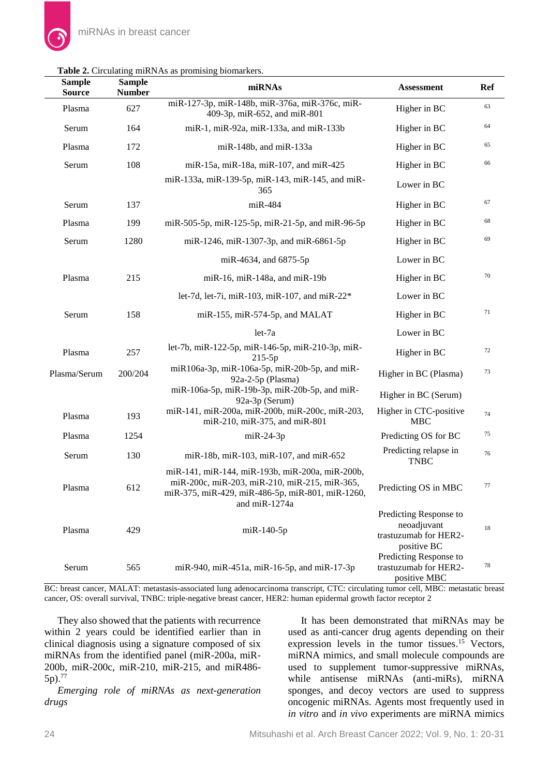| <b>Sample</b><br><b>Source</b> | <b>Sample</b><br><b>Number</b> | miRNAs                                                                                                                                                                | <b>Assessment</b>                                                             | Ref    |
|--------------------------------|--------------------------------|-----------------------------------------------------------------------------------------------------------------------------------------------------------------------|-------------------------------------------------------------------------------|--------|
| Plasma                         | 627                            | miR-127-3p, miR-148b, miR-376a, miR-376c, miR-<br>409-3p, miR-652, and miR-801                                                                                        | Higher in BC                                                                  | 63     |
| Serum                          | 164                            | miR-1, miR-92a, miR-133a, and miR-133b                                                                                                                                | Higher in BC                                                                  | 64     |
| Plasma                         | 172                            | miR-148b, and miR-133a                                                                                                                                                | Higher in BC                                                                  | 65     |
| Serum                          | 108                            | miR-15a, miR-18a, miR-107, and miR-425                                                                                                                                | Higher in BC                                                                  | 66     |
|                                |                                | miR-133a, miR-139-5p, miR-143, miR-145, and miR-<br>365                                                                                                               | Lower in BC                                                                   |        |
| Serum                          | 137                            | $miR-484$                                                                                                                                                             | Higher in BC                                                                  | 67     |
| Plasma                         | 199                            | miR-505-5p, miR-125-5p, miR-21-5p, and miR-96-5p                                                                                                                      | Higher in BC                                                                  | 68     |
| Serum                          | 1280                           | miR-1246, miR-1307-3p, and miR-6861-5p                                                                                                                                | Higher in BC                                                                  | 69     |
|                                |                                | miR-4634, and 6875-5p                                                                                                                                                 | Lower in BC                                                                   |        |
| Plasma                         | 215                            | miR-16, miR-148a, and miR-19b                                                                                                                                         | Higher in BC                                                                  | $70\,$ |
|                                |                                | let-7d, let-7i, miR-103, miR-107, and miR-22*                                                                                                                         | Lower in BC                                                                   |        |
| Serum                          | 158                            | miR-155, miR-574-5p, and MALAT                                                                                                                                        | Higher in BC                                                                  | 71     |
|                                |                                | let-7a                                                                                                                                                                | Lower in BC                                                                   |        |
| Plasma                         | 257                            | let-7b, miR-122-5p, miR-146-5p, miR-210-3p, miR-                                                                                                                      | Higher in BC                                                                  | 72     |
| Plasma/Serum                   | 200/204                        | $215-5p$<br>miR106a-3p, miR-106a-5p, miR-20b-5p, and miR-<br>$92a-2-5p$ (Plasma)                                                                                      | Higher in BC (Plasma)                                                         | 73     |
|                                |                                | miR-106a-5p, miR-19b-3p, miR-20b-5p, and miR-<br>92a-3p (Serum)                                                                                                       | Higher in BC (Serum)                                                          |        |
| Plasma                         | 193                            | miR-141, miR-200a, miR-200b, miR-200c, miR-203,<br>miR-210, miR-375, and miR-801                                                                                      | Higher in CTC-positive<br><b>MBC</b>                                          | 74     |
| Plasma                         | 1254                           | $miR-24-3p$                                                                                                                                                           | Predicting OS for BC                                                          | 75     |
| Serum                          | 130                            | miR-18b, miR-103, miR-107, and miR-652                                                                                                                                | Predicting relapse in<br><b>TNBC</b>                                          | 76     |
| Plasma                         | 612                            | miR-141, miR-144, miR-193b, miR-200a, miR-200b,<br>miR-200c, miR-203, miR-210, miR-215, miR-365,<br>miR-375, miR-429, miR-486-5p, miR-801, miR-1260,<br>and miR-1274a | Predicting OS in MBC                                                          | 77     |
| Plasma                         | 429                            | $m$ iR-140-5p                                                                                                                                                         | Predicting Response to<br>neoadjuvant<br>trastuzumab for HER2-<br>positive BC | 18     |
| Serum                          | 565                            | miR-940, miR-451a, miR-16-5p, and miR-17-3p                                                                                                                           | Predicting Response to<br>trastuzumab for HER2-<br>positive MBC               | 78     |

### **Table 2.** Circulating miRNAs as promising biomarkers.

BC: breast cancer, MALAT: metastasis-associated lung adenocarcinoma transcript, CTC: circulating tumor cell, MBC: metastatic breast cancer, OS: overall survival, TNBC: triple-negative breast cancer, HER2: human epidermal growth factor receptor 2

They also showed that the patients with recurrence within 2 years could be identified earlier than in clinical diagnosis using a signature composed of six miRNAs from the identified panel (miR-200a, miR-200b, miR-200c, miR-210, miR-215, and miR486- 5p). 77

*Emerging role of miRNAs as next-generation drugs*

It has been demonstrated that miRNAs may be used as anti-cancer drug agents depending on their expression levels in the tumor tissues. <sup>15</sup> Vectors, miRNA mimics, and small molecule compounds are used to supplement tumor-suppressive miRNAs, while antisense miRNAs (anti-miRs), miRNA sponges, and decoy vectors are used to suppress oncogenic miRNAs. Agents most frequently used in *in vitro* and *in vivo* experiments are miRNA mimics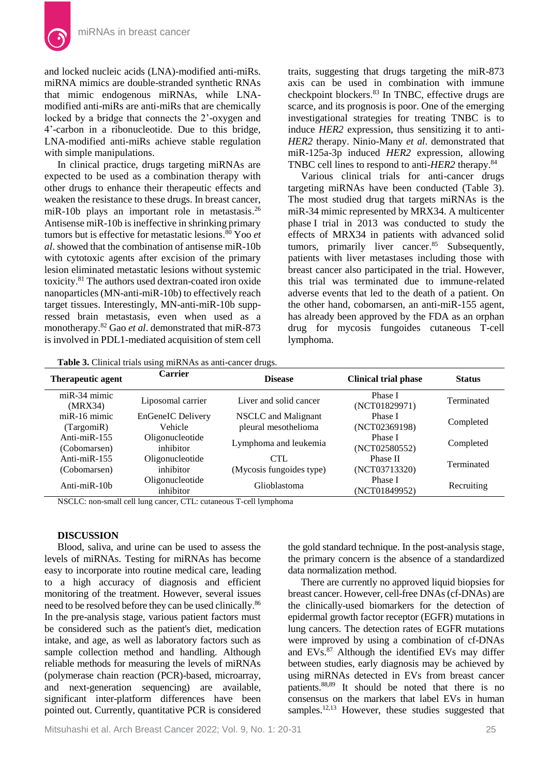and locked nucleic acids (LNA)-modified anti-miRs. miRNA mimics are double-stranded synthetic RNAs that mimic endogenous miRNAs, while LNAmodified anti-miRs are anti-miRs that are chemically locked by a bridge that connects the 2'-oxygen and 4'-carbon in a ribonucleotide. Due to this bridge, LNA-modified anti-miRs achieve stable regulation with simple manipulations.

In clinical practice, drugs targeting miRNAs are expected to be used as a combination therapy with other drugs to enhance their therapeutic effects and weaken the resistance to these drugs. In breast cancer, miR-10b plays an important role in metastasis.<sup>26</sup> Antisense miR-10b is ineffective in shrinking primary tumors but is effective for metastatic lesions. <sup>80</sup> Yoo *et al*. showed that the combination of antisense miR-10b with cytotoxic agents after excision of the primary lesion eliminated metastatic lesions without systemic toxicity. <sup>81</sup> The authors used dextran-coated iron oxide nanoparticles (MN-anti-miR-10b) to effectively reach target tissues. Interestingly, MN-anti-miR-10b suppressed brain metastasis, even when used as a monotherapy. <sup>82</sup> Gao *et al*. demonstrated that miR-873 is involved in PDL1-mediated acquisition of stem cell

traits, suggesting that drugs targeting the miR-873 axis can be used in combination with immune checkpoint blockers. <sup>83</sup> In TNBC, effective drugs are scarce, and its prognosis is poor. One of the emerging investigational strategies for treating TNBC is to induce *HER2* expression, thus sensitizing it to anti-*HER2* therapy. Ninio-Many *et al*. demonstrated that miR-125a-3p induced *HER2* expression, allowing TNBC cell lines to respond to anti-*HER2* therapy. 84

Various clinical trials for anti-cancer drugs targeting miRNAs have been conducted (Table 3). The most studied drug that targets miRNAs is the miR-34 mimic represented by MRX34. A multicenter phase I trial in 2013 was conducted to study the effects of MRX34 in patients with advanced solid tumors, primarily liver cancer.<sup>85</sup> Subsequently, patients with liver metastases including those with breast cancer also participated in the trial. However, this trial was terminated due to immune-related adverse events that led to the death of a patient. On the other hand, cobomarsen, an anti-miR-155 agent, has already been approved by the FDA as an orphan drug for mycosis fungoides cutaneous T-cell lymphoma.

**Table 3.** Clinical trials using miRNAs as anti-cancer drugs.

| Therapeutic agent                 | <b>Carrier</b>                      | <b>Disease</b>                              | <b>Clinical trial phase</b> | <b>Status</b> |
|-----------------------------------|-------------------------------------|---------------------------------------------|-----------------------------|---------------|
| $miR-34$ mimic<br>(MRX34)         | Liposomal carrier                   | Liver and solid cancer                      | Phase I<br>(NCT01829971)    | Terminated    |
| $m$ i R $-16$ mimic<br>(TargomiR) | EnGeneIC Delivery<br><b>Vehicle</b> | NSCLC and Malignant<br>pleural mesothelioma | Phase I<br>(NCT02369198)    | Completed     |
| Anti-mi $R-155$<br>(Cobomarsen)   | Oligonucleotide<br>inhibitor        | Lymphoma and leukemia                       | Phase I<br>(NCT02580552)    | Completed     |
| Anti-mi $R-155$<br>(Cobomarsen)   | Oligonucleotide<br>inhibitor        | <b>CTL</b><br>(Mycosis fungoides type)      | Phase II<br>(NCT03713320)   | Terminated    |
| Anti-mi $R-10h$                   | Oligonucleotide<br>inhibitor        | Glioblastoma                                | Phase I<br>(NCT01849952)    | Recruiting    |

NSCLC: non-small cell lung cancer, CTL: cutaneous T-cell lymphoma

### **DISCUSSION**

Blood, saliva, and urine can be used to assess the levels of miRNAs. Testing for miRNAs has become easy to incorporate into routine medical care, leading to a high accuracy of diagnosis and efficient monitoring of the treatment. However, several issues need to be resolved before they can be used clinically.<sup>86</sup> In the pre-analysis stage, various patient factors must be considered such as the patient's diet, medication intake, and age, as well as laboratory factors such as sample collection method and handling. Although reliable methods for measuring the levels of miRNAs (polymerase chain reaction (PCR)-based, microarray, and next-generation sequencing) are available, significant inter-platform differences have been pointed out. Currently, quantitative PCR is considered

the gold standard technique. In the post-analysis stage, the primary concern is the absence of a standardized data normalization method.

There are currently no approved liquid biopsies for breast cancer. However, cell-free DNAs (cf-DNAs) are the clinically-used biomarkers for the detection of epidermal growth factor receptor (EGFR) mutations in lung cancers. The detection rates of EGFR mutations were improved by using a combination of cf-DNAs and  $EVs$ <sup>87</sup> Although the identified EVs may differ between studies, early diagnosis may be achieved by using miRNAs detected in EVs from breast cancer patients.88,89 It should be noted that there is no consensus on the markers that label EVs in human samples.<sup>12,13</sup> However, these studies suggested that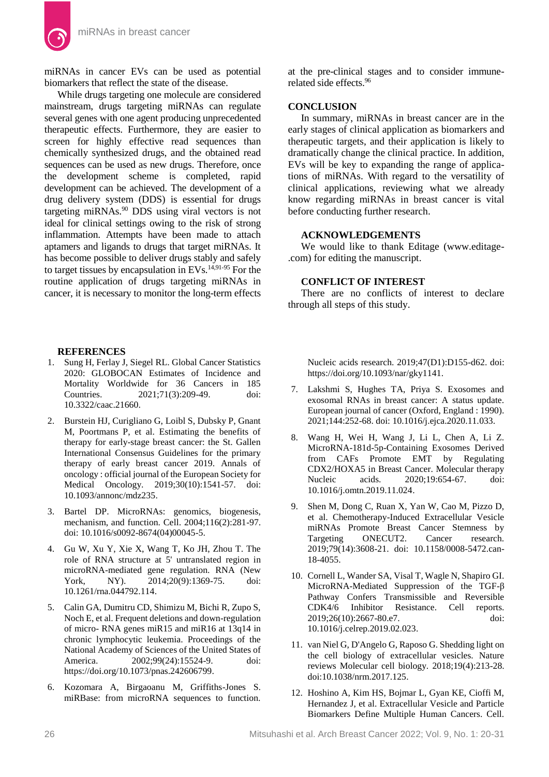

While drugs targeting one molecule are considered mainstream, drugs targeting miRNAs can regulate several genes with one agent producing unprecedented therapeutic effects. Furthermore, they are easier to screen for highly effective read sequences than chemically synthesized drugs, and the obtained read sequences can be used as new drugs. Therefore, once the development scheme is completed, rapid development can be achieved. The development of a drug delivery system (DDS) is essential for drugs targeting miRNAs.<sup>90</sup> DDS using viral vectors is not ideal for clinical settings owing to the risk of strong inflammation. Attempts have been made to attach aptamers and ligands to drugs that target miRNAs. It has become possible to deliver drugs stably and safely to target tissues by encapsulation in EVs.14,91-95 For the routine application of drugs targeting miRNAs in cancer, it is necessary to monitor the long-term effects

### **REFERENCES**

- 1. Sung H, Ferlay J, Siegel RL. Global Cancer Statistics 2020: GLOBOCAN Estimates of Incidence and Mortality Worldwide for 36 Cancers in 185 Countries. 2021;71(3):209-49. doi: [10.3322/caac.21660.](https://doi.org/10.3322/caac.21660)
- 2. Burstein HJ, Curigliano G, Loibl S, Dubsky P, Gnant M, Poortmans P, et al. Estimating the benefits of therapy for early-stage breast cancer: the St. Gallen International Consensus Guidelines for the primary therapy of early breast cancer 2019. Annals of oncology : official journal of the European Society for Medical Oncology. 2019;30(10):1541-57. doi: [10.1093/annonc/mdz235.](https://doi.org/10.1093/annonc/mdz235)
- 3. Bartel DP. MicroRNAs: genomics, biogenesis, mechanism, and function. Cell. 2004;116(2):281-97. doi[: 10.1016/s0092-8674\(04\)00045-5.](https://doi.org/10.1016/s0092-8674(04)00045-5)
- 4. Gu W, Xu Y, Xie X, Wang T, Ko JH, Zhou T. The role of RNA structure at 5' untranslated region in microRNA-mediated gene regulation. RNA (New York, NY). 2014;20(9):1369-75. doi: [10.1261/rna.044792.114.](https://doi.org/10.1261/rna.044792.114)
- 5. Calin GA, Dumitru CD, Shimizu M, Bichi R, Zupo S, Noch E, et al. Frequent deletions and down-regulation of micro- RNA genes miR15 and miR16 at 13q14 in chronic lymphocytic leukemia. Proceedings of the National Academy of Sciences of the United States of America. 2002;99(24):15524-9. doi: [https://doi.org/10.1073/pnas.242606799.](https://doi.org/10.1073/pnas.242606799)
- 6. Kozomara A, Birgaoanu M, Griffiths-Jones S. miRBase: from microRNA sequences to function.

at the pre-clinical stages and to consider immunerelated side effects.<sup>96</sup>

# **CONCLUSION**

In summary, miRNAs in breast cancer are in the early stages of clinical application as biomarkers and therapeutic targets, and their application is likely to dramatically change the clinical practice. In addition, EVs will be key to expanding the range of applications of miRNAs. With regard to the versatility of clinical applications, reviewing what we already know regarding miRNAs in breast cancer is vital before conducting further research.

### **ACKNOWLEDGEMENTS**

We would like to thank Editage (www.editage- .com) for editing the manuscript.

# **CONFLICT OF INTEREST**

There are no conflicts of interest to declare through all steps of this study.

Nucleic acids research. 2019;47(D1):D155-d62. doi: [https://doi.org/10.1093/nar/gky1141.](https://doi.org/10.1093/nar/gky1141)

- 7. Lakshmi S, Hughes TA, Priya S. Exosomes and exosomal RNAs in breast cancer: A status update. European journal of cancer (Oxford, England : 1990). 2021;144:252-68. doi[: 10.1016/j.ejca.2020.11.033.](https://doi.org/10.1016/j.ejca.2020.11.033)
- 8. Wang H, Wei H, Wang J, Li L, Chen A, Li Z. MicroRNA-181d-5p-Containing Exosomes Derived from CAFs Promote EMT by Regulating CDX2/HOXA5 in Breast Cancer. Molecular therapy Nucleic acids. 2020;19:654-67. doi: [10.1016/j.omtn.2019.11.024.](https://doi.org/10.1016/j.omtn.2019.11.024)
- 9. Shen M, Dong C, Ruan X, Yan W, Cao M, Pizzo D, et al. Chemotherapy-Induced Extracellular Vesicle miRNAs Promote Breast Cancer Stemness by Targeting ONECUT2. Cancer research. 2019;79(14):3608-21. doi: [10.1158/0008-5472.can-](https://doi.org/10.1158/0008-5472.can-18-4055)[18-4055.](https://doi.org/10.1158/0008-5472.can-18-4055)
- 10. Cornell L, Wander SA, Visal T, Wagle N, Shapiro GI. MicroRNA-Mediated Suppression of the TGF-β Pathway Confers Transmissible and Reversible CDK4/6 Inhibitor Resistance. Cell reports. 2019;26(10):2667-80.e7. doi: [10.1016/j.celrep.2019.02.023.](https://doi.org/10.1016/j.celrep.2019.02.023)
- 11. van Niel G, D'Angelo G, Raposo G. Shedding light on the cell biology of extracellular vesicles. Nature reviews Molecular cell biology. 2018;19(4):213-28. doi:[10.1038/nrm.2017.125.](https://doi.org/10.1038/nrm.2017.125)
- 12. Hoshino A, Kim HS, Bojmar L, Gyan KE, Cioffi M, Hernandez J, et al. Extracellular Vesicle and Particle Biomarkers Define Multiple Human Cancers. Cell.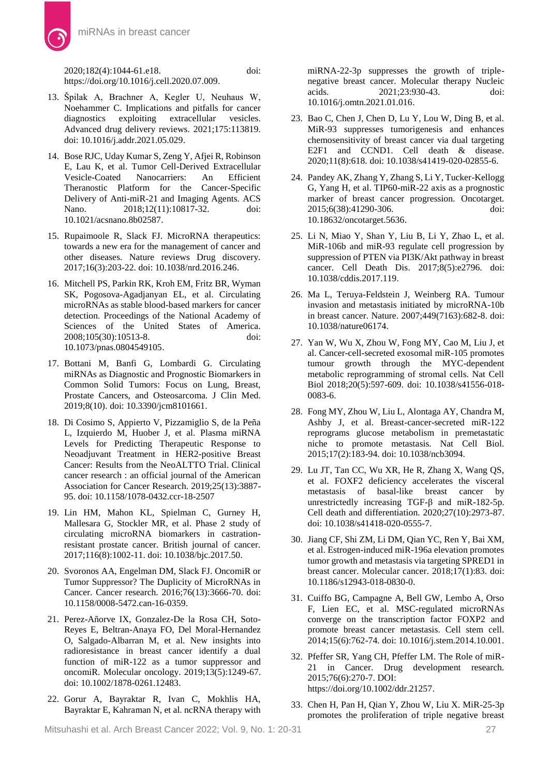2020;182(4):1044-61.e18. doi: [https://doi.org/10.1016/j.cell.2020.07.009.](https://doi.org/10.1016/j.cell.2020.07.009)

- 13. Špilak A, Brachner A, Kegler U, Neuhaus W, Noehammer C. Implications and pitfalls for cancer diagnostics exploiting extracellular vesicles. Advanced drug delivery reviews. 2021;175:113819. doi[: 10.1016/j.addr.2021.05.029.](https://doi.org/10.1016/j.addr.2021.05.029)
- 14. Bose RJC, Uday Kumar S, Zeng Y, Afjei R, Robinson E, Lau K, et al. Tumor Cell-Derived Extracellular<br>Vesicle-Coated Nanocarriers: An Efficient Vesicle-Coated Nanocarriers: An Theranostic Platform for the Cancer-Specific Delivery of Anti-miR-21 and Imaging Agents. ACS Nano. 2018;12(11):10817-32. doi: [10.1021/acsnano.8b02587.](https://doi.org/10.1021/acsnano.8b02587)
- 15. Rupaimoole R, Slack FJ. MicroRNA therapeutics: towards a new era for the management of cancer and other diseases. Nature reviews Drug discovery. 2017;16(3):203-22. doi: [10.1038/nrd.2016.246.](https://doi.org/10.1038/nrd.2016.246)
- 16. Mitchell PS, Parkin RK, Kroh EM, Fritz BR, Wyman SK, Pogosova-Agadjanyan EL, et al. Circulating microRNAs as stable blood-based markers for cancer detection. Proceedings of the National Academy of Sciences of the United States of America. 2008;105(30):10513-8. doi: [10.1073/pnas.0804549105.](https://doi.org/10.1073/pnas.0804549105)
- 17. Bottani M, Banfi G, Lombardi G. Circulating miRNAs as Diagnostic and Prognostic Biomarkers in Common Solid Tumors: Focus on Lung, Breast, Prostate Cancers, and Osteosarcoma. J Clin Med. 2019;8(10). doi: [10.3390/jcm8101661.](https://doi.org/10.3390/jcm8101661)
- 18. Di Cosimo S, Appierto V, Pizzamiglio S, de la Peña L, Izquierdo M, Huober J, et al. Plasma miRNA Levels for Predicting Therapeutic Response to Neoadjuvant Treatment in HER2-positive Breast Cancer: Results from the NeoALTTO Trial. Clinical cancer research : an official journal of the American Association for Cancer Research. 2019;25(13):3887- 95. doi[: 10.1158/1078-0432.ccr-18-2507](https://doi.org/10.1158/1078-0432.ccr-18-2507)
- 19. Lin HM, Mahon KL, Spielman C, Gurney H, Mallesara G, Stockler MR, et al. Phase 2 study of circulating microRNA biomarkers in castrationresistant prostate cancer. British journal of cancer. 2017;116(8):1002-11. doi: [10.1038/bjc.2017.50.](https://doi.org/10.1038/bjc.2017.50)
- 20. Svoronos AA, Engelman DM, Slack FJ. OncomiR or Tumor Suppressor? The Duplicity of MicroRNAs in Cancer. Cancer research. 2016;76(13):3666-70. doi: [10.1158/0008-5472.can-16-0359.](https://doi.org/10.1158/0008-5472.can-16-0359)
- 21. Perez-Añorve IX, Gonzalez-De la Rosa CH, Soto-Reyes E, Beltran-Anaya FO, Del Moral-Hernandez O, Salgado-Albarran M, et al. New insights into radioresistance in breast cancer identify a dual function of miR-122 as a tumor suppressor and oncomiR. Molecular oncology. 2019;13(5):1249-67. doi: [10.1002/1878-0261.12483.](https://doi.org/10.1002/1878-0261.12483)
- 22. Gorur A, Bayraktar R, Ivan C, Mokhlis HA, Bayraktar E, Kahraman N, et al. ncRNA therapy with

miRNA-22-3p suppresses the growth of triplenegative breast cancer. Molecular therapy Nucleic acids. 2021;23:930-43. doi: [10.1016/j.omtn.2021.01.016.](https://doi.org/10.1016/j.omtn.2021.01.016)

- 23. Bao C, Chen J, Chen D, Lu Y, Lou W, Ding B, et al. MiR-93 suppresses tumorigenesis and enhances chemosensitivity of breast cancer via dual targeting E2F1 and CCND1. Cell death & disease. 2020;11(8):618. doi: [10.1038/s41419-020-02855-6.](https://doi.org/10.1038/s41419-020-02855-6)
- 24. Pandey AK, Zhang Y, Zhang S, Li Y, Tucker-Kellogg G, Yang H, et al. TIP60-miR-22 axis as a prognostic marker of breast cancer progression. Oncotarget. 2015;6(38):41290-306. doi: [10.18632/oncotarget.5636.](https://doi.org/10.18632/oncotarget.5636)
- 25. Li N, Miao Y, Shan Y, Liu B, Li Y, Zhao L, et al. MiR-106b and miR-93 regulate cell progression by suppression of PTEN via PI3K/Akt pathway in breast cancer. Cell Death Dis. 2017;8(5):e2796. doi: [10.1038/cddis.2017.119.](https://doi.org/10.1038/cddis.2017.119)
- 26. Ma L, Teruya-Feldstein J, Weinberg RA. Tumour invasion and metastasis initiated by microRNA-10b in breast cancer. Nature. 2007;449(7163):682-8. doi: [10.1038/nature06174.](https://doi.org/10.1038/nature06174)
- 27. Yan W, Wu X, Zhou W, Fong MY, Cao M, Liu J, et al. Cancer-cell-secreted exosomal miR-105 promotes tumour growth through the MYC-dependent metabolic reprogramming of stromal cells. Nat Cell Biol 2018;20(5):597-609. doi: [10.1038/s41556-018-](https://doi.org/10.1038/s41556-018-0083-6) [0083-6.](https://doi.org/10.1038/s41556-018-0083-6)
- 28. Fong MY, Zhou W, Liu L, Alontaga AY, Chandra M, Ashby J, et al. Breast-cancer-secreted miR-122 reprograms glucose metabolism in premetastatic niche to promote metastasis. Nat Cell Biol. 2015;17(2):183-94. doi[: 10.1038/ncb3094.](https://doi.org/10.1038/ncb3094)
- 29. Lu JT, Tan CC, Wu XR, He R, Zhang X, Wang QS, et al. FOXF2 deficiency accelerates the visceral metastasis of basal-like breast cancer by unrestrictedly increasing TGF-β and miR-182-5p. Cell death and differentiation. 2020;27(10):2973-87. doi: [10.1038/s41418-020-0555-7.](https://doi.org/10.1038/s41418-020-0555-7)
- 30. Jiang CF, Shi ZM, Li DM, Qian YC, Ren Y, Bai XM, et al. Estrogen-induced miR-196a elevation promotes tumor growth and metastasis via targeting SPRED1 in breast cancer. Molecular cancer. 2018;17(1):83. doi: [10.1186/s12943-018-0830-0.](https://doi.org/10.1186/s12943-018-0830-0)
- 31. Cuiffo BG, Campagne A, Bell GW, Lembo A, Orso F, Lien EC, et al. MSC-regulated microRNAs converge on the transcription factor FOXP2 and promote breast cancer metastasis. Cell stem cell. 2014;15(6):762-74. doi[: 10.1016/j.stem.2014.10.001.](https://doi.org/10.1016/j.stem.2014.10.001)
- 32. Pfeffer SR, Yang CH, Pfeffer LM. The Role of miR-21 in Cancer. Drug development research. 2015;76(6):270-7. DOI: [https://doi.org/10.1002/ddr.21257.](https://doi.org/10.1002/ddr.21257)
- 33. Chen H, Pan H, Qian Y, Zhou W, Liu X. MiR-25-3p promotes the proliferation of triple negative breast

Mitsuhashi et al. Arch Breast Cancer 2022; Vol. 9, No. 1: 20-31 27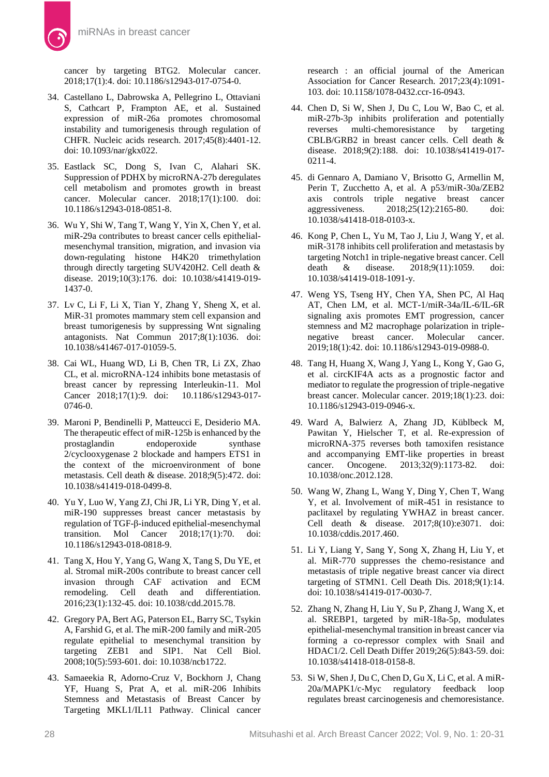cancer by targeting BTG2. Molecular cancer. 2018;17(1):4. doi: [10.1186/s12943-017-0754-0.](https://doi.org/10.1186/s12943-017-0754-0)

- 34. Castellano L, Dabrowska A, Pellegrino L, Ottaviani S, Cathcart P, Frampton AE, et al. Sustained expression of miR-26a promotes chromosomal instability and tumorigenesis through regulation of CHFR. Nucleic acids research. 2017;45(8):4401-12. doi[: 10.1093/nar/gkx022.](https://doi.org/10.1093/nar/gkx022)
- 35. Eastlack SC, Dong S, Ivan C, Alahari SK. Suppression of PDHX by microRNA-27b deregulates cell metabolism and promotes growth in breast cancer. Molecular cancer. 2018;17(1):100. doi: [10.1186/s12943-018-0851-8.](https://doi.org/10.1186/s12943-018-0851-8)
- 36. Wu Y, Shi W, Tang T, Wang Y, Yin X, Chen Y, et al. miR-29a contributes to breast cancer cells epithelialmesenchymal transition, migration, and invasion via down-regulating histone H4K20 trimethylation through directly targeting SUV420H2. Cell death & disease. 2019;10(3):176. doi: [10.1038/s41419-019-](https://doi.org/10.1038/s41419-019-1437-0) [1437-0.](https://doi.org/10.1038/s41419-019-1437-0)
- 37. Lv C, Li F, Li X, Tian Y, Zhang Y, Sheng X, et al. MiR-31 promotes mammary stem cell expansion and breast tumorigenesis by suppressing Wnt signaling antagonists. Nat Commun 2017;8(1):1036. doi: [10.1038/s41467-017-01059-5.](https://doi.org/10.1038/s41467-017-01059-5)
- 38. Cai WL, Huang WD, Li B, Chen TR, Li ZX, Zhao CL, et al. microRNA-124 inhibits bone metastasis of breast cancer by repressing Interleukin-11. Mol Cancer 2018;17(1):9. doi: [10.1186/s12943-017-](https://doi.org/10.1186/s12943-017-0746-0) [0746-0.](https://doi.org/10.1186/s12943-017-0746-0)
- 39. Maroni P, Bendinelli P, Matteucci E, Desiderio MA. The therapeutic effect of miR-125b is enhanced by the prostaglandin endoperoxide synthase 2/cyclooxygenase 2 blockade and hampers ETS1 in the context of the microenvironment of bone metastasis. Cell death & disease. 2018;9(5):472. doi: [10.1038/s41419-018-0499-8.](https://doi.org/10.1038/s41419-018-0499-8)
- 40. Yu Y, Luo W, Yang ZJ, Chi JR, Li YR, Ding Y, et al. miR-190 suppresses breast cancer metastasis by regulation of TGF-β-induced epithelial-mesenchymal transition. Mol Cancer 2018;17(1):70. doi: [10.1186/s12943-018-0818-9.](https://doi.org/10.1186/s12943-018-0818-9)
- 41. Tang X, Hou Y, Yang G, Wang X, Tang S, Du YE, et al. Stromal miR-200s contribute to breast cancer cell invasion through CAF activation and ECM remodeling. Cell death and differentiation. 2016;23(1):132-45. doi: [10.1038/cdd.2015.78.](https://doi.org/10.1038/cdd.2015.78)
- 42. Gregory PA, Bert AG, Paterson EL, Barry SC, Tsykin A, Farshid G, et al. The miR-200 family and miR-205 regulate epithelial to mesenchymal transition by targeting ZEB1 and SIP1. Nat Cell Biol. 2008;10(5):593-601. doi: [10.1038/ncb1722.](https://doi.org/10.1038/ncb1722)
- 43. Samaeekia R, Adorno-Cruz V, Bockhorn J, Chang YF, Huang S, Prat A, et al. miR-206 Inhibits Stemness and Metastasis of Breast Cancer by Targeting MKL1/IL11 Pathway. Clinical cancer

research : an official journal of the American Association for Cancer Research. 2017;23(4):1091- 103. doi: [10.1158/1078-0432.ccr-16-0943.](https://doi.org/10.1158/1078-0432.ccr-16-0943)

- 44. Chen D, Si W, Shen J, Du C, Lou W, Bao C, et al. miR-27b-3p inhibits proliferation and potentially reverses multi-chemoresistance by targeting CBLB/GRB2 in breast cancer cells. Cell death & disease. 2018;9(2):188. doi: [10.1038/s41419-017-](https://doi.org/10.1038/s41419-017-0211-4) [0211-4.](https://doi.org/10.1038/s41419-017-0211-4)
- 45. di Gennaro A, Damiano V, Brisotto G, Armellin M, Perin T, Zucchetto A, et al. A p53/miR-30a/ZEB2 axis controls triple negative breast cancer aggressiveness. 2018;25(12):2165-80. doi: [10.1038/s41418-018-0103-x.](https://doi.org/10.1038/s41418-018-0103-x)
- 46. Kong P, Chen L, Yu M, Tao J, Liu J, Wang Y, et al. miR-3178 inhibits cell proliferation and metastasis by targeting Notch1 in triple-negative breast cancer. Cell<br>death & disease. 2018:9(11):1059. doi: death & disease. 2018;9(11):1059. doi: [10.1038/s41419-018-1091-y.](https://doi.org/10.1038/s41419-018-1091-y)
- 47. Weng YS, Tseng HY, Chen YA, Shen PC, Al Haq AT, Chen LM, et al. MCT-1/miR-34a/IL-6/IL-6R signaling axis promotes EMT progression, cancer stemness and M2 macrophage polarization in triplenegative breast cancer. Molecular cancer. 2019;18(1):42. doi: [10.1186/s12943-019-0988-0.](https://doi.org/10.1186/s12943-019-0988-0)
- 48. Tang H, Huang X, Wang J, Yang L, Kong Y, Gao G, et al. circKIF4A acts as a prognostic factor and mediator to regulate the progression of triple-negative breast cancer. Molecular cancer. 2019;18(1):23. doi: [10.1186/s12943-019-0946-x.](https://doi.org/10.1186/s12943-019-0946-x)
- 49. Ward A, Balwierz A, Zhang JD, Küblbeck M, Pawitan Y, Hielscher T, et al. Re-expression of microRNA-375 reverses both tamoxifen resistance and accompanying EMT-like properties in breast cancer. Oncogene. 2013;32(9):1173-82. doi: [10.1038/onc.2012.128.](https://doi.org/10.1038/onc.2012.128)
- 50. Wang W, Zhang L, Wang Y, Ding Y, Chen T, Wang Y, et al. Involvement of miR-451 in resistance to paclitaxel by regulating YWHAZ in breast cancer. Cell death & disease. 2017;8(10):e3071. doi: [10.1038/cddis.2017.460.](https://doi.org/10.1038/cddis.2017.460)
- 51. Li Y, Liang Y, Sang Y, Song X, Zhang H, Liu Y, et al. MiR-770 suppresses the chemo-resistance and metastasis of triple negative breast cancer via direct targeting of STMN1. Cell Death Dis. 2018;9(1):14. doi: [10.1038/s41419-017-0030-7.](https://doi.org/10.1038/s41419-017-0030-7)
- 52. Zhang N, Zhang H, Liu Y, Su P, Zhang J, Wang X, et al. SREBP1, targeted by miR-18a-5p, modulates epithelial-mesenchymal transition in breast cancer via forming a co-repressor complex with Snail and HDAC1/2. Cell Death Differ 2019;26(5):843-59. doi: [10.1038/s41418-018-0158-8.](https://doi.org/10.1038/s41418-018-0158-8)
- 53. Si W, Shen J, Du C, Chen D, Gu X, Li C, et al. A miR-20a/MAPK1/c-Myc regulatory feedback loop regulates breast carcinogenesis and chemoresistance.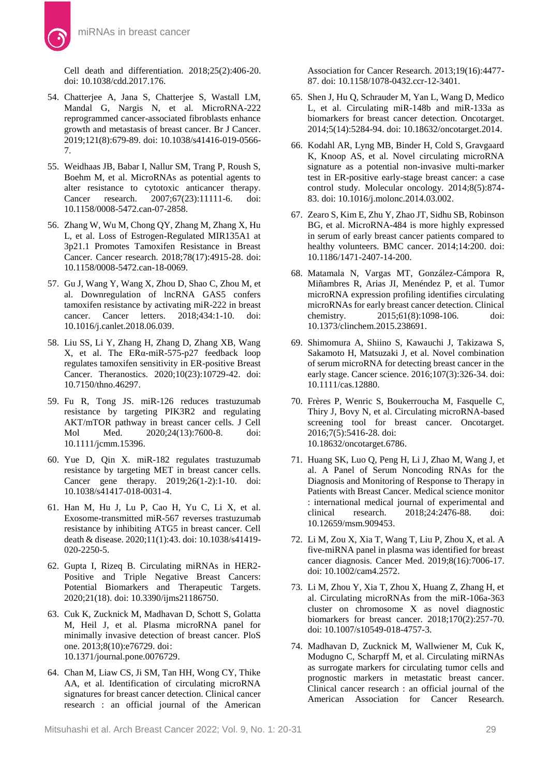Cell death and differentiation. 2018;25(2):406-20. doi[: 10.1038/cdd.2017.176.](https://doi.org/10.1038/cdd.2017.176)

- 54. Chatterjee A, Jana S, Chatterjee S, Wastall LM, Mandal G, Nargis N, et al. MicroRNA-222 reprogrammed cancer-associated fibroblasts enhance growth and metastasis of breast cancer. Br J Cancer. 2019;121(8):679-89. doi[: 10.1038/s41416-019-0566-](https://doi.org/10.1038/s41416-019-0566-7) [7.](https://doi.org/10.1038/s41416-019-0566-7)
- 55. Weidhaas JB, Babar I, Nallur SM, Trang P, Roush S, Boehm M, et al. MicroRNAs as potential agents to alter resistance to cytotoxic anticancer therapy. Cancer research. 2007;67(23):11111-6. doi: [10.1158/0008-5472.can-07-2858.](https://doi.org/10.1158/0008-5472.can-07-2858)
- 56. Zhang W, Wu M, Chong QY, Zhang M, Zhang X, Hu L, et al. Loss of Estrogen-Regulated MIR135A1 at 3p21.1 Promotes Tamoxifen Resistance in Breast Cancer. Cancer research. 2018;78(17):4915-28. doi: [10.1158/0008-5472.can-18-0069.](https://doi.org/10.1158/0008-5472.can-18-0069)
- 57. Gu J, Wang Y, Wang X, Zhou D, Shao C, Zhou M, et al. Downregulation of lncRNA GAS5 confers tamoxifen resistance by activating miR-222 in breast cancer. Cancer letters. 2018;434:1-10. doi: [10.1016/j.canlet.2018.06.039.](https://doi.org/10.1016/j.canlet.2018.06.039)
- 58. Liu SS, Li Y, Zhang H, Zhang D, Zhang XB, Wang X, et al. The ERα-miR-575-p27 feedback loop regulates tamoxifen sensitivity in ER-positive Breast Cancer. Theranostics. 2020;10(23):10729-42. doi: [10.7150/thno.46297.](https://doi.org/10.7150/thno.46297)
- 59. Fu R, Tong JS. miR-126 reduces trastuzumab resistance by targeting PIK3R2 and regulating AKT/mTOR pathway in breast cancer cells. J Cell Mol Med. 2020;24(13):7600-8. doi: [10.1111/jcmm.15396.](https://doi.org/10.1111/jcmm.15396)
- 60. Yue D, Qin X. miR-182 regulates trastuzumab resistance by targeting MET in breast cancer cells. Cancer gene therapy. 2019;26(1-2):1-10. doi: [10.1038/s41417-018-0031-4.](https://doi.org/10.1038/s41417-018-0031-4)
- 61. Han M, Hu J, Lu P, Cao H, Yu C, Li X, et al. Exosome-transmitted miR-567 reverses trastuzumab resistance by inhibiting ATG5 in breast cancer. Cell death & disease. 2020;11(1):43. doi[: 10.1038/s41419-](https://doi.org/10.1038/s41419-020-2250-5) [020-2250-5.](https://doi.org/10.1038/s41419-020-2250-5)
- 62. Gupta I, Rizeq B. Circulating miRNAs in HER2- Positive and Triple Negative Breast Cancers: Potential Biomarkers and Therapeutic Targets. 2020;21(18). doi: [10.3390/ijms21186750.](https://doi.org/10.3390/ijms21186750)
- 63. Cuk K, Zucknick M, Madhavan D, Schott S, Golatta M, Heil J, et al. Plasma microRNA panel for minimally invasive detection of breast cancer. PloS one. 2013;8(10):e76729. doi: [10.1371/journal.pone.0076729.](https://doi.org/10.1371/journal.pone.0076729)
- 64. Chan M, Liaw CS, Ji SM, Tan HH, Wong CY, Thike AA, et al. Identification of circulating microRNA signatures for breast cancer detection. Clinical cancer research : an official journal of the American

Association for Cancer Research. 2013;19(16):4477- 87. doi: [10.1158/1078-0432.ccr-12-3401.](https://doi.org/10.1158/1078-0432.ccr-12-3401)

- 65. Shen J, Hu Q, Schrauder M, Yan L, Wang D, Medico L, et al. Circulating miR-148b and miR-133a as biomarkers for breast cancer detection. Oncotarget. 2014;5(14):5284-94. doi: [10.18632/oncotarget.2014.](https://doi.org/10.18632/oncotarget.2014)
- 66. Kodahl AR, Lyng MB, Binder H, Cold S, Gravgaard K, Knoop AS, et al. Novel circulating microRNA signature as a potential non-invasive multi-marker test in ER-positive early-stage breast cancer: a case control study. Molecular oncology. 2014;8(5):874- 83. doi: [10.1016/j.molonc.2014.03.002.](https://doi.org/10.1016/j.molonc.2014.03.002)
- 67. Zearo S, Kim E, Zhu Y, Zhao JT, Sidhu SB, Robinson BG, et al. MicroRNA-484 is more highly expressed in serum of early breast cancer patients compared to healthy volunteers. BMC cancer. 2014;14:200. doi: [10.1186/1471-2407-14-200.](https://doi.org/10.1186/1471-2407-14-200)
- 68. Matamala N, Vargas MT, González-Cámpora R, Miñambres R, Arias JI, Menéndez P, et al. Tumor microRNA expression profiling identifies circulating microRNAs for early breast cancer detection. Clinical chemistry. 2015;61(8):1098-106. doi: [10.1373/clinchem.2015.238691.](https://doi.org/10.1373/clinchem.2015.238691)
- 69. Shimomura A, Shiino S, Kawauchi J, Takizawa S, Sakamoto H, Matsuzaki J, et al. Novel combination of serum microRNA for detecting breast cancer in the early stage. Cancer science. 2016;107(3):326-34. doi: [10.1111/cas.12880.](https://doi.org/10.1111/cas.12880)
- 70. Frères P, Wenric S, Boukerroucha M, Fasquelle C, Thiry J, Bovy N, et al. Circulating microRNA-based screening tool for breast cancer. Oncotarget. 2016;7(5):5416-28. doi: [10.18632/oncotarget.6786.](https://doi.org/10.18632/oncotarget.6786)
- 71. Huang SK, Luo Q, Peng H, Li J, Zhao M, Wang J, et al. A Panel of Serum Noncoding RNAs for the Diagnosis and Monitoring of Response to Therapy in Patients with Breast Cancer. Medical science monitor : international medical journal of experimental and clinical research. 2018;24:2476-88. doi: [10.12659/msm.909453.](https://doi.org/10.12659/msm.909453)
- 72. Li M, Zou X, Xia T, Wang T, Liu P, Zhou X, et al. A five-miRNA panel in plasma was identified for breast cancer diagnosis. Cancer Med. 2019;8(16):7006-17. doi: [10.1002/cam4.2572.](https://doi.org/10.1002/cam4.2572)
- 73. Li M, Zhou Y, Xia T, Zhou X, Huang Z, Zhang H, et al. Circulating microRNAs from the miR-106a-363 cluster on chromosome X as novel diagnostic biomarkers for breast cancer. 2018;170(2):257-70. doi: [10.1007/s10549-018-4757-3.](https://doi.org/10.1007/s10549-018-4757-3)
- 74. Madhavan D, Zucknick M, Wallwiener M, Cuk K, Modugno C, Scharpff M, et al. Circulating miRNAs as surrogate markers for circulating tumor cells and prognostic markers in metastatic breast cancer. Clinical cancer research : an official journal of the American Association for Cancer Research.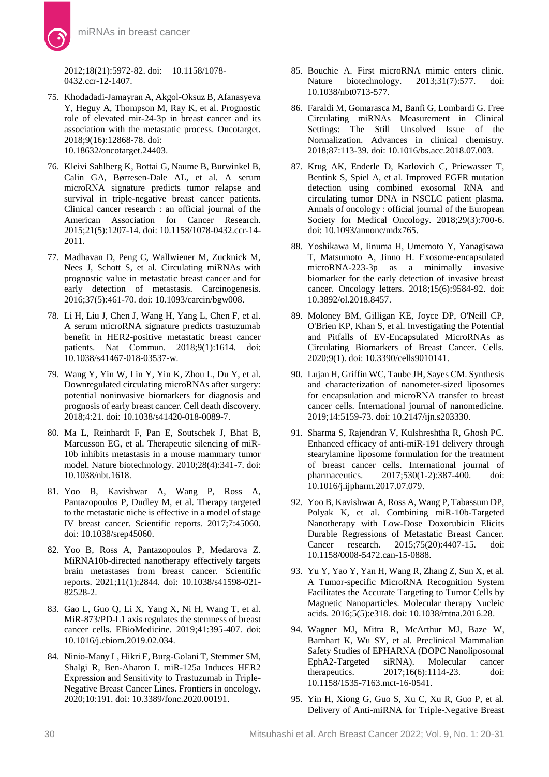2012;18(21):5972-82. doi: [10.1158/1078-](https://doi.org/10.1158/1078-0432.ccr-12-1407) [0432.ccr-12-1407.](https://doi.org/10.1158/1078-0432.ccr-12-1407)

- 75. Khodadadi-Jamayran A, Akgol-Oksuz B, Afanasyeva Y, Heguy A, Thompson M, Ray K, et al. Prognostic role of elevated mir-24-3p in breast cancer and its association with the metastatic process. Oncotarget. 2018;9(16):12868-78. doi: [10.18632/oncotarget.24403.](https://doi.org/10.18632/oncotarget.24403)
- 76. Kleivi Sahlberg K, Bottai G, Naume B, Burwinkel B, Calin GA, Børresen-Dale AL, et al. A serum microRNA signature predicts tumor relapse and survival in triple-negative breast cancer patients. Clinical cancer research : an official journal of the American Association for Cancer Research. 2015;21(5):1207-14. doi: [10.1158/1078-0432.ccr-14-](https://doi.org/10.1158/1078-0432.ccr-14-2011) [2011.](https://doi.org/10.1158/1078-0432.ccr-14-2011)
- 77. Madhavan D, Peng C, Wallwiener M, Zucknick M, Nees J, Schott S, et al. Circulating miRNAs with prognostic value in metastatic breast cancer and for early detection of metastasis. Carcinogenesis. 2016;37(5):461-70. doi: [10.1093/carcin/bgw008.](https://doi.org/10.1093/carcin/bgw008)
- 78. Li H, Liu J, Chen J, Wang H, Yang L, Chen F, et al. A serum microRNA signature predicts trastuzumab benefit in HER2-positive metastatic breast cancer patients. Nat Commun. 2018;9(1):1614. doi: [10.1038/s41467-018-03537-w.](https://doi.org/10.1038/s41467-018-03537-w)
- 79. Wang Y, Yin W, Lin Y, Yin K, Zhou L, Du Y, et al. Downregulated circulating microRNAs after surgery: potential noninvasive biomarkers for diagnosis and prognosis of early breast cancer. Cell death discovery. 2018;4:21. doi: [10.1038/s41420-018-0089-7.](https://doi.org/10.1038/s41420-018-0089-7)
- 80. Ma L, Reinhardt F, Pan E, Soutschek J, Bhat B, Marcusson EG, et al. Therapeutic silencing of miR-10b inhibits metastasis in a mouse mammary tumor model. Nature biotechnology. 2010;28(4):341-7. doi: [10.1038/nbt.1618.](https://doi.org/10.1038/nbt.1618)
- 81. Yoo B, Kavishwar A, Wang P, Ross A, Pantazopoulos P, Dudley M, et al. Therapy targeted to the metastatic niche is effective in a model of stage IV breast cancer. Scientific reports. 2017;7:45060. doi[: 10.1038/srep45060.](https://doi.org/10.1038/srep45060)
- 82. Yoo B, Ross A, Pantazopoulos P, Medarova Z. MiRNA10b-directed nanotherapy effectively targets brain metastases from breast cancer. Scientific reports. 2021;11(1):2844. doi: [10.1038/s41598-021-](https://doi.org/10.1038/s41598-021-82528-2) [82528-2.](https://doi.org/10.1038/s41598-021-82528-2)
- 83. Gao L, Guo Q, Li X, Yang X, Ni H, Wang T, et al. MiR-873/PD-L1 axis regulates the stemness of breast cancer cells. EBioMedicine. 2019;41:395-407. doi: [10.1016/j.ebiom.2019.02.034.](https://doi.org/10.1016/j.ebiom.2019.02.034)
- 84. Ninio-Many L, Hikri E, Burg-Golani T, Stemmer SM, Shalgi R, Ben-Aharon I. miR-125a Induces HER2 Expression and Sensitivity to Trastuzumab in Triple-Negative Breast Cancer Lines. Frontiers in oncology. 2020;10:191. doi: [10.3389/fonc.2020.00191.](https://doi.org/10.3389/fonc.2020.00191)
- 85. Bouchie A. First microRNA mimic enters clinic. Nature biotechnology. 2013;31(7):577. doi: [10.1038/nbt0713-577.](https://doi.org/10.1038/nbt0713-577)
- 86. Faraldi M, Gomarasca M, Banfi G, Lombardi G. Free Circulating miRNAs Measurement in Clinical Settings: The Still Unsolved Issue of the Normalization. Advances in clinical chemistry. 2018;87:113-39. doi[: 10.1016/bs.acc.2018.07.003.](https://doi.org/10.1016/bs.acc.2018.07.003)
- 87. Krug AK, Enderle D, Karlovich C, Priewasser T, Bentink S, Spiel A, et al. Improved EGFR mutation detection using combined exosomal RNA and circulating tumor DNA in NSCLC patient plasma. Annals of oncology : official journal of the European Society for Medical Oncology. 2018;29(3):700-6. doi: [10.1093/annonc/mdx765.](https://doi.org/10.1093/annonc/mdx765)
- 88. Yoshikawa M, Iinuma H, Umemoto Y, Yanagisawa T, Matsumoto A, Jinno H. Exosome-encapsulated microRNA-223-3p as a minimally invasive biomarker for the early detection of invasive breast cancer. Oncology letters. 2018;15(6):9584-92. doi: [10.3892/ol.2018.8457.](https://doi.org/10.3892/ol.2018.8457)
- 89. Moloney BM, Gilligan KE, Joyce DP, O'Neill CP, O'Brien KP, Khan S, et al. Investigating the Potential and Pitfalls of EV-Encapsulated MicroRNAs as Circulating Biomarkers of Breast Cancer. Cells. 2020;9(1). doi: [10.3390/cells9010141.](https://doi.org/10.3390/cells9010141)
- 90. Lujan H, Griffin WC, Taube JH, Sayes CM. Synthesis and characterization of nanometer-sized liposomes for encapsulation and microRNA transfer to breast cancer cells. International journal of nanomedicine. 2019;14:5159-73. doi[: 10.2147/ijn.s203330.](https://doi.org/10.2147/ijn.s203330)
- 91. Sharma S, Rajendran V, Kulshreshtha R, Ghosh PC. Enhanced efficacy of anti-miR-191 delivery through stearylamine liposome formulation for the treatment of breast cancer cells. International journal of pharmaceutics. 2017;530(1-2):387-400. doi: [10.1016/j.ijpharm.2017.07.079.](https://doi.org/10.1016/j.ijpharm.2017.07.079)
- 92. Yoo B, Kavishwar A, Ross A, Wang P, Tabassum DP, Polyak K, et al. Combining miR-10b-Targeted Nanotherapy with Low-Dose Doxorubicin Elicits Durable Regressions of Metastatic Breast Cancer. Cancer research. 2015;75(20):4407-15. doi: [10.1158/0008-5472.can-15-0888.](https://doi.org/10.1158/0008-5472.can-15-0888)
- 93. Yu Y, Yao Y, Yan H, Wang R, Zhang Z, Sun X, et al. A Tumor-specific MicroRNA Recognition System Facilitates the Accurate Targeting to Tumor Cells by Magnetic Nanoparticles. Molecular therapy Nucleic acids. 2016;5(5):e318. doi: [10.1038/mtna.2016.28.](https://doi.org/10.1038/mtna.2016.28)
- 94. Wagner MJ, Mitra R, McArthur MJ, Baze W, Barnhart K, Wu SY, et al. Preclinical Mammalian Safety Studies of EPHARNA (DOPC Nanoliposomal EphA2-Targeted siRNA). Molecular cancer therapeutics. 2017;16(6):1114-23. doi: [10.1158/1535-7163.mct-16-0541.](https://doi.org/10.1158/1535-7163.mct-16-0541)
- 95. Yin H, Xiong G, Guo S, Xu C, Xu R, Guo P, et al. Delivery of Anti-miRNA for Triple-Negative Breast